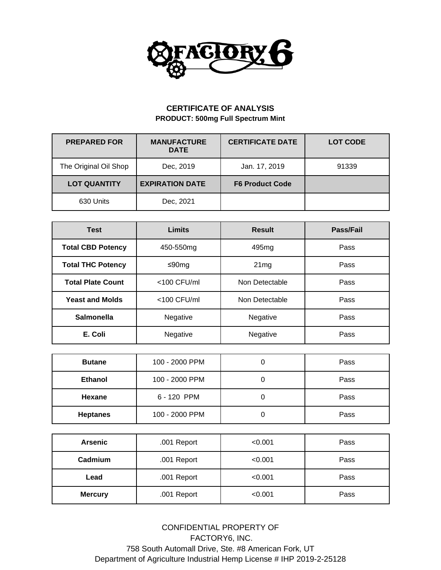

## **CERTIFICATE OF ANALYSIS PRODUCT: 500mg Full Spectrum Mint**

| <b>PREPARED FOR</b>   | <b>MANUFACTURE</b><br><b>DATE</b> | <b>CERTIFICATE DATE</b> | <b>LOT CODE</b> |
|-----------------------|-----------------------------------|-------------------------|-----------------|
| The Original Oil Shop | Dec, 2019                         | Jan. 17, 2019           | 91339           |
| <b>LOT QUANTITY</b>   | <b>EXPIRATION DATE</b>            | <b>F6 Product Code</b>  |                 |
| 630 Units             | Dec, 2021                         |                         |                 |

| <b>Test</b>              | <b>Limits</b>                    | <b>Result</b>     | Pass/Fail |  |
|--------------------------|----------------------------------|-------------------|-----------|--|
| <b>Total CBD Potency</b> | 450-550mg                        | 495 <sub>mg</sub> | Pass      |  |
| <b>Total THC Potency</b> | ≤90mg                            | 21mg              | Pass      |  |
| <b>Total Plate Count</b> | $<$ 100 CFU/ml<br>Non Detectable |                   | Pass      |  |
| <b>Yeast and Molds</b>   | $<$ 100 CFU/ml<br>Non Detectable |                   | Pass      |  |
| Salmonella               | Negative                         | Negative<br>Pass  |           |  |
| E. Coli                  | Negative                         | Negative<br>Pass  |           |  |

| <b>Butane</b>   | 100 - 2000 PPM |  | Pass |  |  |
|-----------------|----------------|--|------|--|--|
| <b>Ethanol</b>  | 100 - 2000 PPM |  |      |  |  |
| Hexane          | 6 - 120 PPM    |  | Pass |  |  |
| <b>Heptanes</b> | 100 - 2000 PPM |  | Pass |  |  |

| <b>Arsenic</b>                | .001 Report | < 0.001 | Pass |  |
|-------------------------------|-------------|---------|------|--|
| Cadmium                       | .001 Report | < 0.001 | Pass |  |
| Lead                          | .001 Report | < 0.001 | Pass |  |
| .001 Report<br><b>Mercury</b> |             | < 0.001 | Pass |  |

CONFIDENTIAL PROPERTY OF FACTORY6, INC. 758 South Automall Drive, Ste. #8 American Fork, UT Department of Agriculture Industrial Hemp License # IHP 2019-2-25128